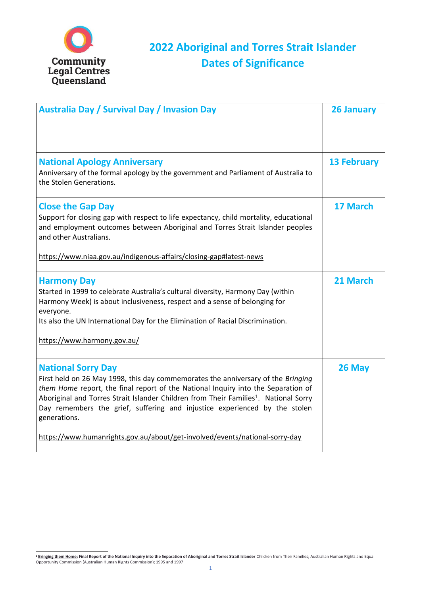1



## **2022 Aboriginal and Torres Strait Islander Dates of Significance**

| <b>Australia Day / Survival Day / Invasion Day</b>                                                                                                                                                                                                                                                                                                                                                                                                                                  | <b>26 January</b>  |
|-------------------------------------------------------------------------------------------------------------------------------------------------------------------------------------------------------------------------------------------------------------------------------------------------------------------------------------------------------------------------------------------------------------------------------------------------------------------------------------|--------------------|
| <b>National Apology Anniversary</b><br>Anniversary of the formal apology by the government and Parliament of Australia to<br>the Stolen Generations.                                                                                                                                                                                                                                                                                                                                | <b>13 February</b> |
| <b>Close the Gap Day</b><br>Support for closing gap with respect to life expectancy, child mortality, educational<br>and employment outcomes between Aboriginal and Torres Strait Islander peoples<br>and other Australians.<br>https://www.niaa.gov.au/indigenous-affairs/closing-gap#latest-news                                                                                                                                                                                  | <b>17 March</b>    |
| <b>Harmony Day</b><br>Started in 1999 to celebrate Australia's cultural diversity, Harmony Day (within<br>Harmony Week) is about inclusiveness, respect and a sense of belonging for<br>everyone.<br>Its also the UN International Day for the Elimination of Racial Discrimination.<br>https://www.harmony.gov.au/                                                                                                                                                                 | 21 March           |
| <b>National Sorry Day</b><br>First held on 26 May 1998, this day commemorates the anniversary of the Bringing<br>them Home report, the final report of the National Inquiry into the Separation of<br>Aboriginal and Torres Strait Islander Children from Their Families <sup>1</sup> . National Sorry<br>Day remembers the grief, suffering and injustice experienced by the stolen<br>generations.<br>https://www.humanrights.gov.au/about/get-involved/events/national-sorry-day | 26 May             |

<sup>&</sup>lt;sup>1</sup> Bringing them Home; Final Report of the National Inquiry into the Separation of Aboriginal and Torres Strait Islander Children from Their Families; Australian Human Rights and Equal Opportunity Commission (Australian Human Rights Commission); 1995 and 1997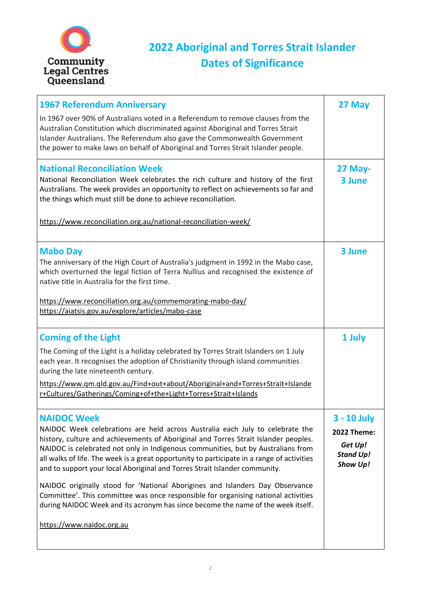2



## **2022 Aboriginal and Torres Strait Islander Dates of Significance**

| <b>1967 Referendum Anniversary</b><br>In 1967 over 90% of Australians voted in a Referendum to remove clauses from the<br>Australian Constitution which discriminated against Aboriginal and Torres Strait<br>Islander Australians. The Referendum also gave the Commonwealth Government<br>the power to make laws on behalf of Aboriginal and Torres Strait Islander people.                     | 27 May                                              |
|---------------------------------------------------------------------------------------------------------------------------------------------------------------------------------------------------------------------------------------------------------------------------------------------------------------------------------------------------------------------------------------------------|-----------------------------------------------------|
| <b>National Reconciliation Week</b><br>National Reconciliation Week celebrates the rich culture and history of the first<br>Australians. The week provides an opportunity to reflect on achievements so far and<br>the things which must still be done to achieve reconciliation.<br>https://www.reconciliation.org.au/national-reconciliation-week/                                              | $27$ May-<br>3 June                                 |
| <b>Mabo Day</b><br>The anniversary of the High Court of Australia's judgment in 1992 in the Mabo case,                                                                                                                                                                                                                                                                                            | <b>3 June</b>                                       |
| which overturned the legal fiction of Terra Nullius and recognised the existence of<br>native title in Australia for the first time.<br>https://www.reconciliation.org.au/commemorating-mabo-day/<br>https://aiatsis.gov.au/explore/articles/mabo-case                                                                                                                                            |                                                     |
| <b>Coming of the Light</b><br>The Coming of the Light is a holiday celebrated by Torres Strait Islanders on 1 July<br>each year. It recognises the adoption of Christianity through island communities<br>during the late nineteenth century.<br>https://www.qm.qld.gov.au/Find+out+about/Aboriginal+and+Torres+Strait+Islande<br>r+Cultures/Gatherings/Coming+of+the+Light+Torres+Strait+Islands | 1 July                                              |
| <b>NAIDOC Week</b><br>NAIDOC Week celebrations are held across Australia each July to celebrate the<br>history, culture and achievements of Aboriginal and Torres Strait Islander peoples.<br>NAIDOC is celebrated not only in Indigenous communities, but by Australians from                                                                                                                    | <b>3 - 10 July</b><br><b>2022 Theme:</b><br>Get Up! |

all walks of life. The week is a great opportunity to participate in a range of activities and to support your local Aboriginal and Torres Strait Islander community.

NAIDOC originally stood for 'National Aborigines and Islanders Day Observance Committee'. This committee was once responsible for organising national activities during NAIDOC Week and its acronym has since become the name of the week itself.

[https://www.naidoc.org.au](https://www.naidoc.org.au/)

*Stand Up! Show Up!*